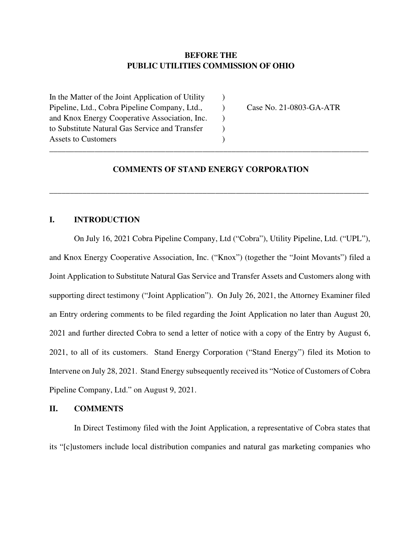# **BEFORE THE PUBLIC UTILITIES COMMISSION OF OHIO**

In the Matter of the Joint Application of Utility  $\qquad$ ) Pipeline, Ltd., Cobra Pipeline Company, Ltd., Case No. 21-0803-GA-ATR and Knox Energy Cooperative Association, Inc. (b) to Substitute Natural Gas Service and Transfer ) Assets to Customers (a) \_\_\_\_\_\_\_\_\_\_\_\_\_\_\_\_\_\_\_\_\_\_\_\_\_\_\_\_\_\_\_\_\_\_\_\_\_\_\_\_\_\_\_\_\_\_\_\_\_\_\_\_\_\_\_\_\_\_\_\_\_\_\_\_\_\_\_\_\_\_\_\_\_\_\_\_\_

# **COMMENTS OF STAND ENERGY CORPORATION**

\_\_\_\_\_\_\_\_\_\_\_\_\_\_\_\_\_\_\_\_\_\_\_\_\_\_\_\_\_\_\_\_\_\_\_\_\_\_\_\_\_\_\_\_\_\_\_\_\_\_\_\_\_\_\_\_\_\_\_\_\_\_\_\_\_\_\_\_\_\_\_\_\_\_\_\_\_

## **I. INTRODUCTION**

On July 16, 2021 Cobra Pipeline Company, Ltd ("Cobra"), Utility Pipeline, Ltd. ("UPL"), and Knox Energy Cooperative Association, Inc. ("Knox") (together the "Joint Movants") filed a Joint Application to Substitute Natural Gas Service and Transfer Assets and Customers along with supporting direct testimony ("Joint Application"). On July 26, 2021, the Attorney Examiner filed an Entry ordering comments to be filed regarding the Joint Application no later than August 20, 2021 and further directed Cobra to send a letter of notice with a copy of the Entry by August 6, 2021, to all of its customers. Stand Energy Corporation ("Stand Energy") filed its Motion to Intervene on July 28, 2021. Stand Energy subsequently received its "Notice of Customers of Cobra Pipeline Company, Ltd." on August 9, 2021.

#### **II. COMMENTS**

In Direct Testimony filed with the Joint Application, a representative of Cobra states that its "[c]ustomers include local distribution companies and natural gas marketing companies who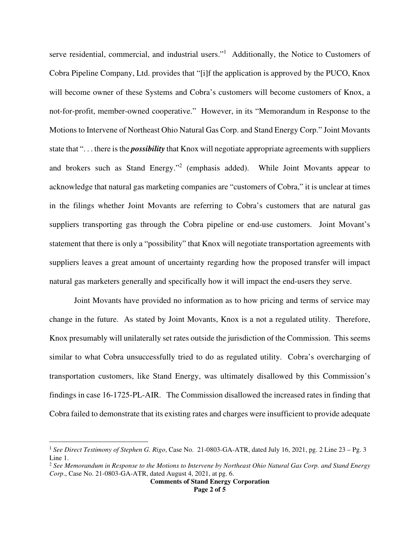serve residential, commercial, and industrial users."<sup>1</sup> Additionally, the Notice to Customers of Cobra Pipeline Company, Ltd. provides that "[i]f the application is approved by the PUCO, Knox will become owner of these Systems and Cobra's customers will become customers of Knox, a not-for-profit, member-owned cooperative." However, in its "Memorandum in Response to the Motions to Intervene of Northeast Ohio Natural Gas Corp. and Stand Energy Corp." Joint Movants state that ". . . there is the *possibility* that Knox will negotiate appropriate agreements with suppliers and brokers such as Stand Energy."<sup>2</sup> (emphasis added). While Joint Movants appear to acknowledge that natural gas marketing companies are "customers of Cobra," it is unclear at times in the filings whether Joint Movants are referring to Cobra's customers that are natural gas suppliers transporting gas through the Cobra pipeline or end-use customers. Joint Movant's statement that there is only a "possibility" that Knox will negotiate transportation agreements with suppliers leaves a great amount of uncertainty regarding how the proposed transfer will impact natural gas marketers generally and specifically how it will impact the end-users they serve.

 Joint Movants have provided no information as to how pricing and terms of service may change in the future. As stated by Joint Movants, Knox is a not a regulated utility. Therefore, Knox presumably will unilaterally set rates outside the jurisdiction of the Commission. This seems similar to what Cobra unsuccessfully tried to do as regulated utility. Cobra's overcharging of transportation customers, like Stand Energy, was ultimately disallowed by this Commission's findings in case 16-1725-PL-AIR. The Commission disallowed the increased rates in finding that Cobra failed to demonstrate that its existing rates and charges were insufficient to provide adequate

<sup>1</sup> *See Direct Testimony of Stephen G. Rigo*, Case No. 21-0803-GA-ATR, dated July 16, 2021, pg. 2 Line 23 – Pg. 3 Line 1.

<sup>2</sup> *See Memorandum in Response to the Motions to Intervene by Northeast Ohio Natural Gas Corp. and Stand Energy Corp*., Case No. 21-0803-GA-ATR, dated August 4, 2021, at pg. 6.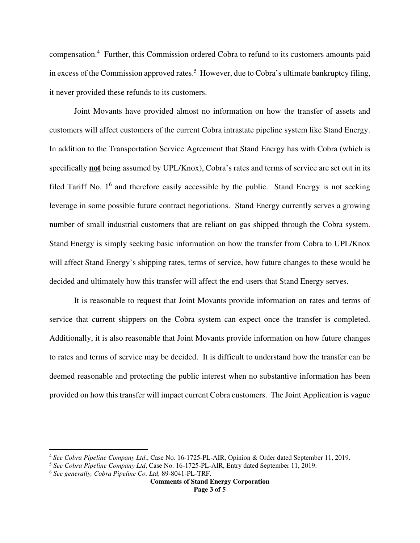compensation.<sup>4</sup> Further, this Commission ordered Cobra to refund to its customers amounts paid in excess of the Commission approved rates.<sup>5</sup> However, due to Cobra's ultimate bankruptcy filing, it never provided these refunds to its customers.

 Joint Movants have provided almost no information on how the transfer of assets and customers will affect customers of the current Cobra intrastate pipeline system like Stand Energy. In addition to the Transportation Service Agreement that Stand Energy has with Cobra (which is specifically **not** being assumed by UPL/Knox), Cobra's rates and terms of service are set out in its filed Tariff No.  $1<sup>6</sup>$  and therefore easily accessible by the public. Stand Energy is not seeking leverage in some possible future contract negotiations. Stand Energy currently serves a growing number of small industrial customers that are reliant on gas shipped through the Cobra system. Stand Energy is simply seeking basic information on how the transfer from Cobra to UPL/Knox will affect Stand Energy's shipping rates, terms of service, how future changes to these would be decided and ultimately how this transfer will affect the end-users that Stand Energy serves.

 It is reasonable to request that Joint Movants provide information on rates and terms of service that current shippers on the Cobra system can expect once the transfer is completed. Additionally, it is also reasonable that Joint Movants provide information on how future changes to rates and terms of service may be decided. It is difficult to understand how the transfer can be deemed reasonable and protecting the public interest when no substantive information has been provided on how this transfer will impact current Cobra customers. The Joint Application is vague

<sup>4</sup> *See Cobra Pipeline Company Ltd*., Case No. 16-1725-PL-AIR, Opinion & Order dated September 11, 2019.

<sup>5</sup> *See Cobra Pipeline Company Ltd*, Case No. 16-1725-PL-AIR, Entry dated September 11, 2019.

<sup>6</sup> *See generally, Cobra Pipeline Co. Ltd,* 89-8041-PL-TRF.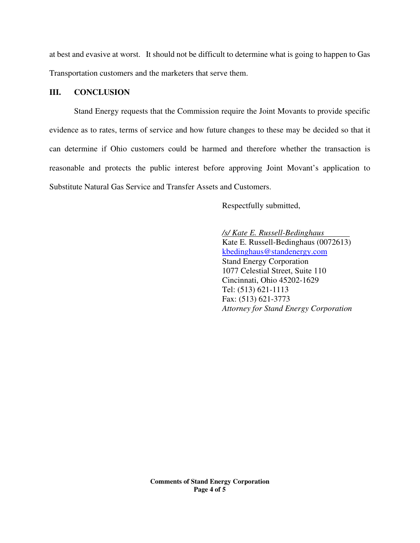at best and evasive at worst. It should not be difficult to determine what is going to happen to Gas Transportation customers and the marketers that serve them.

## **III. CONCLUSION**

 Stand Energy requests that the Commission require the Joint Movants to provide specific evidence as to rates, terms of service and how future changes to these may be decided so that it can determine if Ohio customers could be harmed and therefore whether the transaction is reasonable and protects the public interest before approving Joint Movant's application to Substitute Natural Gas Service and Transfer Assets and Customers.

Respectfully submitted,

 */s/ Kate E. Russell-Bedinghaus*  Kate E. Russell-Bedinghaus (0072613) kbedinghaus@standenergy.com Stand Energy Corporation 1077 Celestial Street, Suite 110 Cincinnati, Ohio 45202-1629 Tel: (513) 621-1113 Fax: (513) 621-3773 *Attorney for Stand Energy Corporation*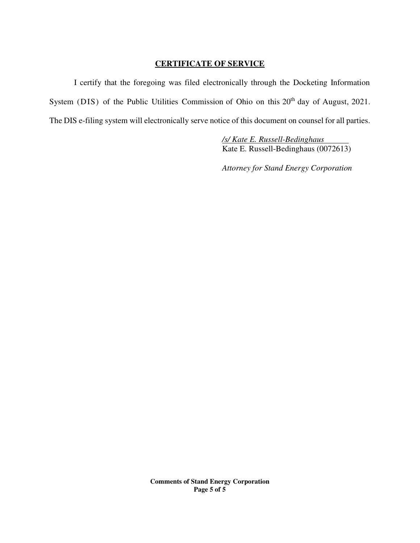# **CERTIFICATE OF SERVICE**

 I certify that the foregoing was filed electronically through the Docketing Information System (DIS) of the Public Utilities Commission of Ohio on this 20<sup>th</sup> day of August, 2021. The DIS e-filing system will electronically serve notice of this document on counsel for all parties.

> */s/ Kate E. Russell-Bedinghaus*  Kate E. Russell-Bedinghaus (0072613)

> *Attorney for Stand Energy Corporation*